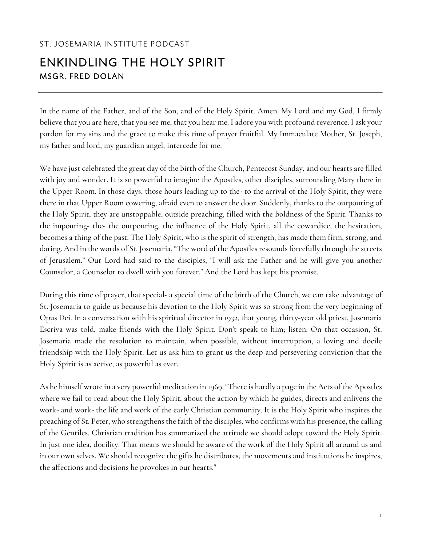## ST. JOSEMARIA INSTITUTE PODCAST

## ENKINDLING THE HOLY SPIRIT MSGR. FRED DOLAN

In the name of the Father, and of the Son, and of the Holy Spirit. Amen. My Lord and my God, I firmly believe that you are here, that you see me, that you hear me. I adore you with profound reverence. I ask your pardon for my sins and the grace to make this time of prayer fruitful. My Immaculate Mother, St. Joseph, my father and lord, my guardian angel, intercede for me.

We have just celebrated the great day of the birth of the Church, Pentecost Sunday, and our hearts are filled with joy and wonder. It is so powerful to imagine the Apostles, other disciples, surrounding Mary there in the Upper Room. In those days, those hours leading up to the- to the arrival of the Holy Spirit, they were there in that Upper Room cowering, afraid even to answer the door. Suddenly, thanks to the outpouring of the Holy Spirit, they are unstoppable, outside preaching, filled with the boldness of the Spirit. Thanks to the impouring- the- the outpouring, the influence of the Holy Spirit, all the cowardice, the hesitation, becomes a thing of the past. The Holy Spirit, who is the spirit of strength, has made them firm, strong, and daring. And in the words of St. Josemaria, "The word of the Apostles resounds forcefully through the streets of Jerusalem." Our Lord had said to the disciples, "I will ask the Father and he will give you another Counselor, a Counselor to dwell with you forever." And the Lord has kept his promise.

During this time of prayer, that special- a special time of the birth of the Church, we can take advantage of St. Josemaria to guide us because his devotion to the Holy Spirit was so strong from the very beginning of Opus Dei. In a conversation with his spiritual director in 1932, that young, thirty-year old priest, Josemaria Escriva was told, make friends with the Holy Spirit. Don't speak to him; listen. On that occasion, St. Josemaria made the resolution to maintain, when possible, without interruption, a loving and docile friendship with the Holy Spirit. Let us ask him to grant us the deep and persevering conviction that the Holy Spirit is as active, as powerful as ever.

As he himself wrote in a very powerful meditation in 1969, "There is hardly a page in the Acts of the Apostles where we fail to read about the Holy Spirit, about the action by which he guides, directs and enlivens the work- and work- the life and work of the early Christian community. It is the Holy Spirit who inspires the preaching of St. Peter, who strengthens the faith of the disciples, who confirms with his presence, the calling of the Gentiles. Christian tradition has summarized the attitude we should adopt toward the Holy Spirit. In just one idea, docility. That means we should be aware of the work of the Holy Spirit all around us and in our own selves. We should recognize the gifts he distributes, the movements and institutions he inspires, the affections and decisions he provokes in our hearts."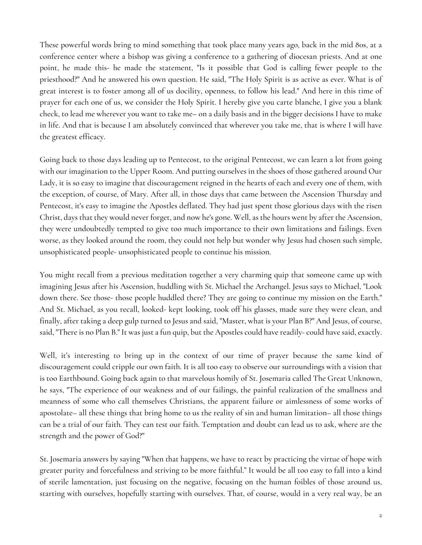These powerful words bring to mind something that took place many years ago, back in the mid 80s, at a conference center where a bishop was giving a conference to a gathering of diocesan priests. And at one point, he made this- he made the statement, "Is it possible that God is calling fewer people to the priesthood?" And he answered his own question. He said, "The Holy Spirit is as active as ever. What is of great interest is to foster among all of us docility, openness, to follow his lead." And here in this time of prayer for each one of us, we consider the Holy Spirit. I hereby give you carte blanche, I give you a blank check, to lead me wherever you want to take me– on a daily basis and in the bigger decisions I have to make in life. And that is because I am absolutely convinced that wherever you take me, that is where I will have the greatest efficacy.

Going back to those days leading up to Pentecost, to the original Pentecost, we can learn a lot from going with our imagination to the Upper Room. And putting ourselves in the shoes of those gathered around Our Lady, it is so easy to imagine that discouragement reigned in the hearts of each and every one of them, with the exception, of course, of Mary. After all, in those days that came between the Ascension Thursday and Pentecost, it's easy to imagine the Apostles deflated. They had just spent those glorious days with the risen Christ, days that they would never forget, and now he's gone. Well, as the hours went by after the Ascension, they were undoubtedly tempted to give too much importance to their own limitations and failings. Even worse, as they looked around the room, they could not help but wonder why Jesus had chosen such simple, unsophisticated people- unsophisticated people to continue his mission.

You might recall from a previous meditation together a very charming quip that someone came up with imagining Jesus after his Ascension, huddling with St. Michael the Archangel. Jesus says to Michael, "Look down there. See those- those people huddled there? They are going to continue my mission on the Earth." And St. Michael, as you recall, looked- kept looking, took off his glasses, made sure they were clean, and finally, after taking a deep gulp turned to Jesus and said, "Master, what is your Plan B?" And Jesus, of course, said, "There is no Plan B." It was just a fun quip, but the Apostles could have readily- could have said, exactly.

Well, it's interesting to bring up in the context of our time of prayer because the same kind of discouragement could cripple our own faith. It is all too easy to observe our surroundings with a vision that is too Earthbound. Going back again to that marvelous homily of St. Josemaria called The Great Unknown, he says, "The experience of our weakness and of our failings, the painful realization of the smallness and meanness of some who call themselves Christians, the apparent failure or aimlessness of some works of apostolate– all these things that bring home to us the reality of sin and human limitation– all those things can be a trial of our faith. They can test our faith. Temptation and doubt can lead us to ask, where are the strength and the power of God?"

St. Josemaria answers by saying "When that happens, we have to react by practicing the virtue of hope with greater purity and forcefulness and striving to be more faithful." It would be all too easy to fall into a kind of sterile lamentation, just focusing on the negative, focusing on the human foibles of those around us, starting with ourselves, hopefully starting with ourselves. That, of course, would in a very real way, be an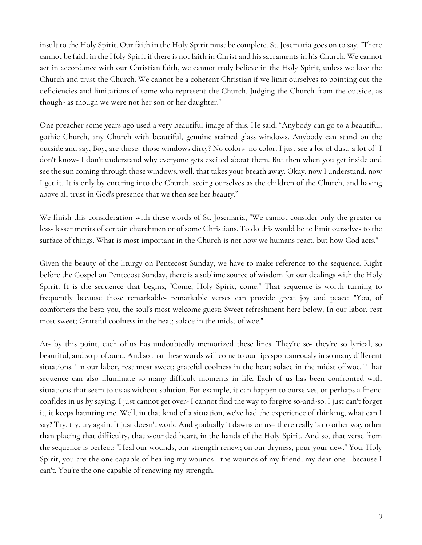insult to the Holy Spirit. Our faith in the Holy Spirit must be complete. St. Josemaria goes on to say, "There cannot be faith in the Holy Spirit if there is not faith in Christ and his sacraments in his Church. We cannot act in accordance with our Christian faith, we cannot truly believe in the Holy Spirit, unless we love the Church and trust the Church. We cannot be a coherent Christian if we limit ourselves to pointing out the deficiencies and limitations of some who represent the Church. Judging the Church from the outside, as though- as though we were not her son or her daughter."

One preacher some years ago used a very beautiful image of this. He said, "Anybody can go to a beautiful, gothic Church, any Church with beautiful, genuine stained glass windows. Anybody can stand on the outside and say, Boy, are those- those windows dirty? No colors- no color. I just see a lot of dust, a lot of- I don't know- I don't understand why everyone gets excited about them. But then when you get inside and see the sun coming through those windows, well, that takes your breath away. Okay, now I understand, now I get it. It is only by entering into the Church, seeing ourselves as the children of the Church, and having above all trust in God's presence that we then see her beauty."

We finish this consideration with these words of St. Josemaria, "We cannot consider only the greater or less- lesser merits of certain churchmen or of some Christians. To do this would be to limit ourselves to the surface of things. What is most important in the Church is not how we humans react, but how God acts."

Given the beauty of the liturgy on Pentecost Sunday, we have to make reference to the sequence. Right before the Gospel on Pentecost Sunday, there is a sublime source of wisdom for our dealings with the Holy Spirit. It is the sequence that begins, "Come, Holy Spirit, come." That sequence is worth turning to frequently because those remarkable- remarkable verses can provide great joy and peace: "You, of comforters the best; you, the soul's most welcome guest; Sweet refreshment here below; In our labor, rest most sweet; Grateful coolness in the heat; solace in the midst of woe."

At- by this point, each of us has undoubtedly memorized these lines. They're so- they're so lyrical, so beautiful, and so profound. And so that these words will come to our lips spontaneously in so many different situations. "In our labor, rest most sweet; grateful coolness in the heat; solace in the midst of woe." That sequence can also illuminate so many difficult moments in life. Each of us has been confronted with situations that seem to us as without solution. For example, it can happen to ourselves, or perhaps a friend confides in us by saying, I just cannot get over- I cannot find the way to forgive so-and-so. I just can't forget it, it keeps haunting me. Well, in that kind of a situation, we've had the experience of thinking, what can I say? Try, try, try again. It just doesn't work. And gradually it dawns on us– there really is no other way other than placing that difficulty, that wounded heart, in the hands of the Holy Spirit. And so, that verse from the sequence is perfect: "Heal our wounds, our strength renew; on our dryness, pour your dew." You, Holy Spirit, you are the one capable of healing my wounds– the wounds of my friend, my dear one– because I can't. You're the one capable of renewing my strength.